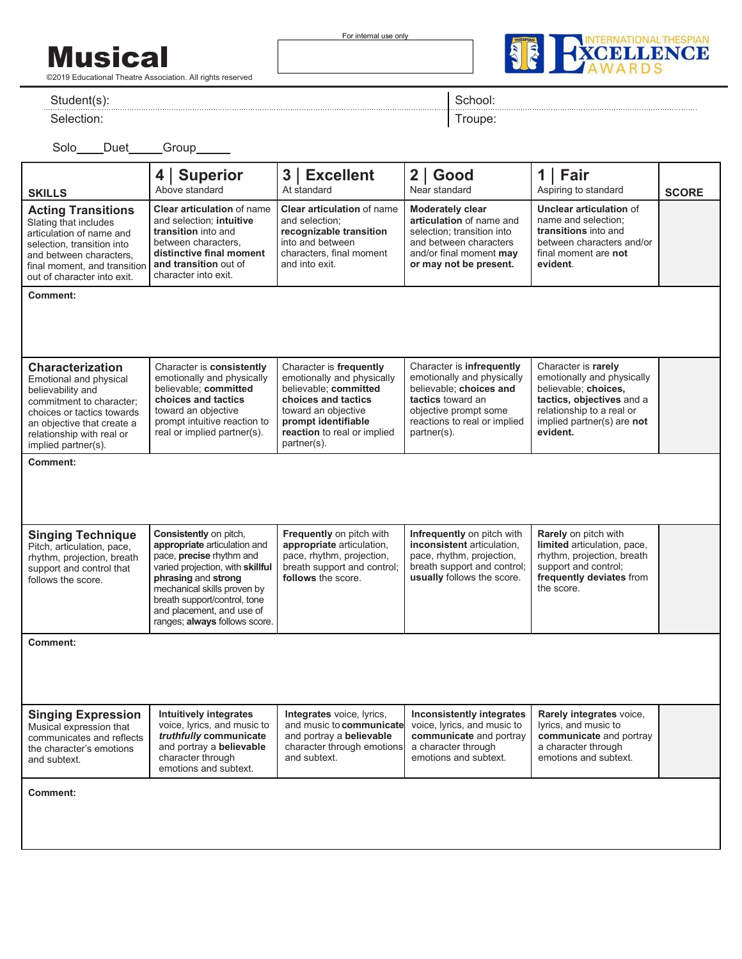Musical

©2019 Educational Theatre Association. All rights reserved

For internal use only



Student(s):

Selection:

School:

Troupe:

Solo\_\_\_\_Duet\_\_\_\_\_Group\_\_\_

| <b>SKILLS</b>                                                                                                                                                                                                      | <b>Superior</b><br>4<br>Above standard                                                                                                                                                                                                                                     | 3   Excellent<br>At standard                                                                                                                                                                      | $2  $ Good<br>Near standard                                                                                                                                                     | Fair<br>1<br>Aspiring to standard                                                                                                                                             | <b>SCORE</b> |
|--------------------------------------------------------------------------------------------------------------------------------------------------------------------------------------------------------------------|----------------------------------------------------------------------------------------------------------------------------------------------------------------------------------------------------------------------------------------------------------------------------|---------------------------------------------------------------------------------------------------------------------------------------------------------------------------------------------------|---------------------------------------------------------------------------------------------------------------------------------------------------------------------------------|-------------------------------------------------------------------------------------------------------------------------------------------------------------------------------|--------------|
| <b>Acting Transitions</b><br>Slating that includes<br>articulation of name and<br>selection, transition into<br>and between characters,<br>final moment, and transition<br>out of character into exit.             | <b>Clear articulation of name</b><br>and selection; intuitive<br>transition into and<br>between characters,<br>distinctive final moment<br>and transition out of<br>character into exit.                                                                                   | <b>Clear articulation of name</b><br>and selection;<br>recognizable transition<br>into and between<br>characters. final moment<br>and into exit.                                                  | <b>Moderately clear</b><br>articulation of name and<br>selection; transition into<br>and between characters<br>and/or final moment may<br>or may not be present.                | <b>Unclear articulation of</b><br>name and selection;<br>transitions into and<br>between characters and/or<br>final moment are not<br>evident.                                |              |
| <b>Comment:</b>                                                                                                                                                                                                    |                                                                                                                                                                                                                                                                            |                                                                                                                                                                                                   |                                                                                                                                                                                 |                                                                                                                                                                               |              |
|                                                                                                                                                                                                                    |                                                                                                                                                                                                                                                                            |                                                                                                                                                                                                   |                                                                                                                                                                                 |                                                                                                                                                                               |              |
| <b>Characterization</b><br>Emotional and physical<br>believability and<br>commitment to character;<br>choices or tactics towards<br>an objective that create a<br>relationship with real or<br>implied partner(s). | Character is consistently<br>emotionally and physically<br>believable; committed<br>choices and tactics<br>toward an objective<br>prompt intuitive reaction to<br>real or implied partner(s).                                                                              | Character is frequently<br>emotionally and physically<br>believable: committed<br>choices and tactics<br>toward an objective<br>prompt identifiable<br>reaction to real or implied<br>partner(s). | Character is infrequently<br>emotionally and physically<br>believable; choices and<br>tactics toward an<br>objective prompt some<br>reactions to real or implied<br>partner(s). | Character is rarely<br>emotionally and physically<br>believable; choices,<br>tactics, objectives and a<br>relationship to a real or<br>implied partner(s) are not<br>evident. |              |
| <b>Comment:</b>                                                                                                                                                                                                    |                                                                                                                                                                                                                                                                            |                                                                                                                                                                                                   |                                                                                                                                                                                 |                                                                                                                                                                               |              |
|                                                                                                                                                                                                                    |                                                                                                                                                                                                                                                                            |                                                                                                                                                                                                   |                                                                                                                                                                                 |                                                                                                                                                                               |              |
| <b>Singing Technique</b><br>Pitch, articulation, pace,<br>rhythm, projection, breath<br>support and control that<br>follows the score.                                                                             | Consistently on pitch,<br>appropriate articulation and<br>pace, precise rhythm and<br>varied projection, with skillful<br>phrasing and strong<br>mechanical skills proven by<br>breath support/control, tone<br>and placement, and use of<br>ranges; always follows score. | Frequently on pitch with<br>appropriate articulation,<br>pace, rhythm, projection,<br>breath support and control;<br>follows the score.                                                           | Infrequently on pitch with<br>inconsistent articulation,<br>pace, rhythm, projection,<br>breath support and control;<br>usually follows the score.                              | <b>Rarely</b> on pitch with<br>limited articulation, pace,<br>rhythm, projection, breath<br>support and control;<br>frequently deviates from<br>the score.                    |              |
| <b>Comment:</b>                                                                                                                                                                                                    |                                                                                                                                                                                                                                                                            |                                                                                                                                                                                                   |                                                                                                                                                                                 |                                                                                                                                                                               |              |
|                                                                                                                                                                                                                    |                                                                                                                                                                                                                                                                            |                                                                                                                                                                                                   |                                                                                                                                                                                 |                                                                                                                                                                               |              |
| <b>Singing Expression</b><br>Musical expression that<br>communicates and reflects<br>the character's emotions<br>and subtext.                                                                                      | <b>Intuitively integrates</b><br>voice, lyrics, and music to<br>truthfully communicate<br>and portray a believable<br>character through<br>emotions and subtext.                                                                                                           | Integrates voice, lyrics,<br>and music to communicate<br>and portray a believable<br>character through emotions<br>and subtext.                                                                   | Inconsistently integrates<br>voice, lyrics, and music to<br>communicate and portray<br>a character through<br>emotions and subtext.                                             | Rarely integrates voice,<br>lyrics, and music to<br>communicate and portray<br>a character through<br>emotions and subtext.                                                   |              |
| <b>Comment:</b>                                                                                                                                                                                                    |                                                                                                                                                                                                                                                                            |                                                                                                                                                                                                   |                                                                                                                                                                                 |                                                                                                                                                                               |              |
|                                                                                                                                                                                                                    |                                                                                                                                                                                                                                                                            |                                                                                                                                                                                                   |                                                                                                                                                                                 |                                                                                                                                                                               |              |
|                                                                                                                                                                                                                    |                                                                                                                                                                                                                                                                            |                                                                                                                                                                                                   |                                                                                                                                                                                 |                                                                                                                                                                               |              |